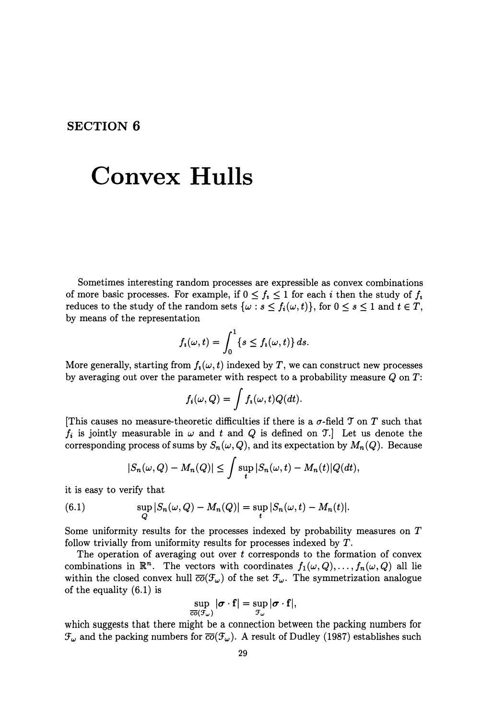## **SECTION 6**

## **Convex Hulls**

Sometimes interesting random processes are expressible as convex combinations of more basic processes. For example, if  $0 \le f_i \le 1$  for each i then the study of  $f_i$ reduces to the study of the random sets  $\{\omega : s \leq f_i(\omega, t)\}\)$ , for  $0 \leq s \leq 1$  and  $t \in T$ , by means of the representation

$$
f_i(\omega, t) = \int_0^1 \{s \le f_i(\omega, t)\} ds.
$$

More generally, starting from  $f_i(\omega, t)$  indexed by T, we can construct new processes by averaging out over the parameter with respect to a probability measure  $Q$  on  $T$ :

$$
f_i(\omega, Q) = \int f_i(\omega, t) Q(dt).
$$

[This causes no measure-theoretic difficulties if there is a  $\sigma$ -field  $\mathcal T$  on  $T$  such that  $f_i$  is jointly measurable in  $\omega$  and t and Q is defined on  $\mathcal{T}$ . Let us denote the corresponding process of sums by  $S_n(\omega, Q)$ , and its expectation by  $M_n(Q)$ . Because

$$
|S_n(\omega, Q) - M_n(Q)| \leq \int \sup_t |S_n(\omega, t) - M_n(t)| Q(dt),
$$

it is easy to verify that

(6.1) 
$$
\sup_{Q} |S_n(\omega, Q) - M_n(Q)| = \sup_{t} |S_n(\omega, t) - M_n(t)|.
$$

Some uniformity results for the processes indexed by probability measures on T follow trivially from uniformity results for processes indexed by *T.* 

The operation of averaging out over  $t$  corresponds to the formation of convex combinations in  $\mathbb{R}^n$ . The vectors with coordinates  $f_1(\omega, Q), \ldots, f_n(\omega, Q)$  all lie within the closed convex hull  $\overline{co}(\mathcal{F}_{\omega})$  of the set  $\mathcal{F}_{\omega}$ . The symmetrization analogue of the equality (6.1) is

$$
\sup_{\overline{co}(\mathcal{F}_{\omega})} |\boldsymbol{\sigma} \cdot \mathbf{f}| = \sup_{\mathcal{F}_{\omega}} |\boldsymbol{\sigma} \cdot \mathbf{f}|,
$$

which suggests that there might be a connection between the packing numbers for  $\mathcal{F}_{\omega}$  and the packing numbers for  $\overline{co}(\mathcal{F}_{\omega})$ . A result of Dudley (1987) establishes such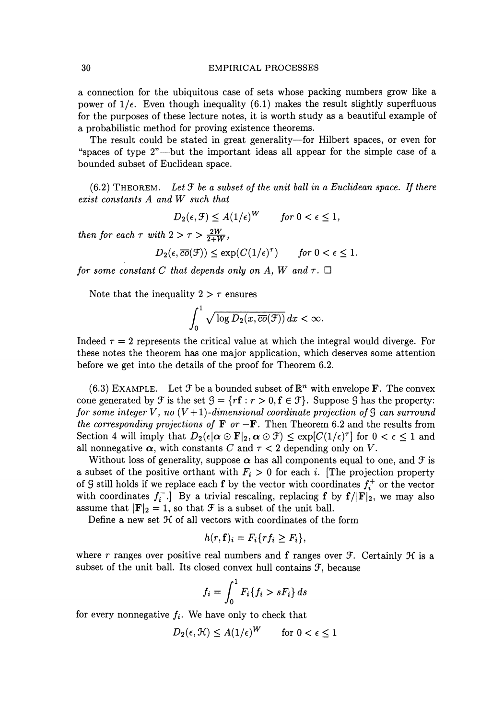## 30 EMPIRICAL PROCESSES

a connection for the ubiquitous case of sets whose packing numbers grow like a power of  $1/\epsilon$ . Even though inequality (6.1) makes the result slightly superfluous for the purposes of these lecture notes, it is worth study as a beautiful example of a probabilistic method for proving existence theorems.

The result could be stated in great generality-for Hilbert spaces, or even for "spaces of type  $2$ "---but the important ideas all appear for the simple case of a bounded subset of Euclidean space.

 $(6.2)$  THEOREM. Let  $\mathcal F$  be a subset of the unit ball in a Euclidean space. If there *exist constants A and W such that* 

 $D_2(\epsilon, \mathcal{F}) \leq A(1/\epsilon)^W$  *for*  $0 < \epsilon \leq 1$ ,

*then for each*  $\tau$  *with*  $2 > \tau > \frac{2W}{2+W}$ ,

$$
D_2(\epsilon, \overline{co}(\mathcal{F})) \le \exp(C(1/\epsilon)^{\tau}) \quad \text{for } 0 < \epsilon \le 1.
$$

*for some constant C that depends only on A, W and*  $\tau$ *.*  $\Box$ 

Note that the inequality  $2 > \tau$  ensures

$$
\int_0^1 \sqrt{\log D_2(x, \overline{co}(\mathcal{F}))} \, dx < \infty.
$$

Indeed  $\tau = 2$  represents the critical value at which the integral would diverge. For these notes the theorem has one major application, which deserves some attention before we get into the details of the proof for Theorem 6.2.

(6.3) EXAMPLE. Let  $\mathcal F$  be a bounded subset of  $\mathbb{R}^n$  with envelope **F**. The convex cone generated by  $\mathcal{F}$  is the set  $\mathcal{G} = \{r\mathbf{f}: r > 0, \mathbf{f} \in \mathcal{F}\}\)$ . Suppose  $\mathcal{G}$  has the property: *for some integer* V, no  $(V+1)$ *-dimensional coordinate projection of*  $\mathcal G$  *can surround the corresponding projections of*  $\bf{F}$  *or*  $-\bf{F}$ . Then Theorem 6.2 and the results from Section 4 will imply that  $D_2(\epsilon|\alpha \odot \mathbf{F}|_2, \alpha \odot \mathcal{F}) \leq \exp[C(1/\epsilon)^{\tau}]$  for  $0 < \epsilon \leq 1$  and all nonnegative  $\alpha$ , with constants *C* and  $\tau < 2$  depending only on *V*.

Without loss of generality, suppose  $\alpha$  has all components equal to one, and  $\mathcal F$  is a subset of the positive orthant with  $F_i > 0$  for each i. [The projection property of 9 still holds if we replace each **f** by the vector with coordinates  $f_i^+$  or the vector with coordinates  $f_i^-$ . By a trivial rescaling, replacing **f** by  $f/|F|_2$ , we may also assume that  $|\mathbf{F}|_2 = 1$ , so that  $\mathcal F$  is a subset of the unit ball.

Define a new set  $H$  of all vectors with coordinates of the form

$$
h(r,\mathbf{f})_i = F_i\{rf_i \geq F_i\},\
$$

where r ranges over positive real numbers and **f** ranges over  $\mathcal{F}$ . Certainly  $\mathcal{H}$  is a subset of the unit ball. Its closed convex hull contains  $\mathcal{F}$ , because

$$
f_i = \int_0^1 F_i \{f_i > sF_i\} ds
$$

for every nonnegative  $f_i$ . We have only to check that

$$
D_2(\epsilon, \mathcal{H}) \le A(1/\epsilon)^W \qquad \text{for } 0 < \epsilon \le 1
$$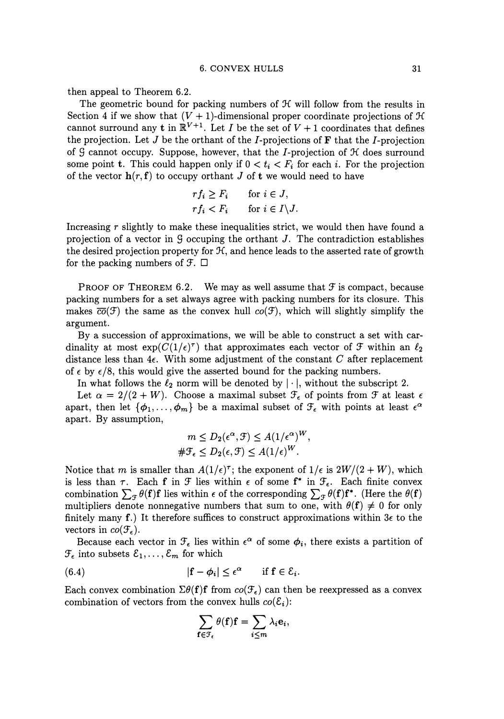then appeal to Theorem 6.2.

The geometric bound for packing numbers of  $H$  will follow from the results in Section 4 if we show that  $(V + 1)$ -dimensional proper coordinate projections of  $\mathcal H$ cannot surround any **t** in  $\mathbb{R}^{V+1}$ . Let *I* be the set of  $V + 1$  coordinates that defines the projection. Let  $J$  be the orthant of the  $I$ -projections of  $\bf{F}$  that the  $I$ -projection of  $\mathcal G$  cannot occupy. Suppose, however, that the *I*-projection of  $\mathcal H$  does surround some point t. This could happen only if  $0 < t_i < F_i$  for each *i*. For the projection of the vector  $h(r, f)$  to occupy orthant J of t we would need to have

$$
rf_i \geq F_i \quad \text{for } i \in J,
$$
  

$$
rf_i < F_i \quad \text{for } i \in I \setminus J.
$$

Increasing *r* slightly to make these inequalities strict, we would then have found a projection of a vector in  $\mathcal G$  occuping the orthant J. The contradiction establishes the desired projection property for  $H$ , and hence leads to the asserted rate of growth for the packing numbers of  $\mathcal{F}$ .  $\Box$ 

PROOF OF THEOREM 6.2. We may as well assume that  $\mathcal F$  is compact, because packing numbers for a set always agree with packing numbers for its closure. This makes  $\overline{co}(\mathcal{F})$  the same as the convex hull  $co(\mathcal{F})$ , which will slightly simplify the argument.

By a succession of approximations, we will be able to construct a set with cardinality at most  $\exp(C(1/\epsilon)^{\tau})$  that approximates each vector of  $\mathcal F$  within an  $\ell_2$ distance less than  $4\epsilon$ . With some adjustment of the constant C after replacement of  $\epsilon$  by  $\epsilon/8$ , this would give the asserted bound for the packing numbers.

In what follows the  $\ell_2$  norm will be denoted by  $|\cdot|$ , without the subscript 2.

Let  $\alpha = 2/(2+W)$ . Choose a maximal subset  $\mathcal{F}_{\epsilon}$  of points from  $\mathcal{F}$  at least  $\epsilon$ apart, then let  $\{\phi_1, \ldots, \phi_m\}$  be a maximal subset of  $\mathcal{F}_{\epsilon}$  with points at least  $\epsilon^{\alpha}$ apart. By assumption,

$$
m \le D_2(\epsilon^{\alpha}, \mathcal{F}) \le A(1/\epsilon^{\alpha})^W,
$$
  

$$
\#\mathcal{F}_{\epsilon} \le D_2(\epsilon, \mathcal{F}) \le A(1/\epsilon)^W.
$$

Notice that m is smaller than  $A(1/\epsilon)^{\tau}$ ; the exponent of  $1/\epsilon$  is  $2W/(2+W)$ , which is less than  $\tau$ . Each **f** in  $\mathcal{F}$  lies within  $\epsilon$  of some  $f^*$  in  $\mathcal{F}_{\epsilon}$ . Each finite convex combination  $\sum_{\tau} \theta(\mathbf{f}) \mathbf{f}$  lies within  $\epsilon$  of the corresponding  $\sum_{\tau} \theta(\mathbf{f}) \mathbf{f}^*$ . (Here the  $\theta(\mathbf{f})$ multipliers denote nonnegative numbers that sum to one, with  $\theta(f) \neq 0$  for only finitely many f.) It therefore suffices to construct approximations within  $3\epsilon$  to the vectors in  $co(\mathcal{F}_{\epsilon}).$ 

Because each vector in  $\mathcal{F}_{\epsilon}$  lies within  $\epsilon^{\alpha}$  of some  $\phi_i$ , there exists a partition of  $\mathcal{F}_{\epsilon}$  into subsets  $\mathcal{E}_{1}, \ldots, \mathcal{E}_{m}$  for which

(6.4) 
$$
|\mathbf{f} - \phi_i| \leq \epsilon^{\alpha} \quad \text{if } \mathbf{f} \in \mathcal{E}_i.
$$

Each convex combination  $\Sigma \theta(\mathbf{f}) \mathbf{f}$  from  $co(\mathcal{F}_{\epsilon})$  can then be reexpressed as a convex combination of vectors from the convex hulls  $co(\mathcal{E}_i)$ :

$$
\sum_{\mathbf{f}\in\mathcal{F}_{\epsilon}}\theta(\mathbf{f})\mathbf{f}=\sum_{i\leq m}\lambda_i\mathbf{e}_i,
$$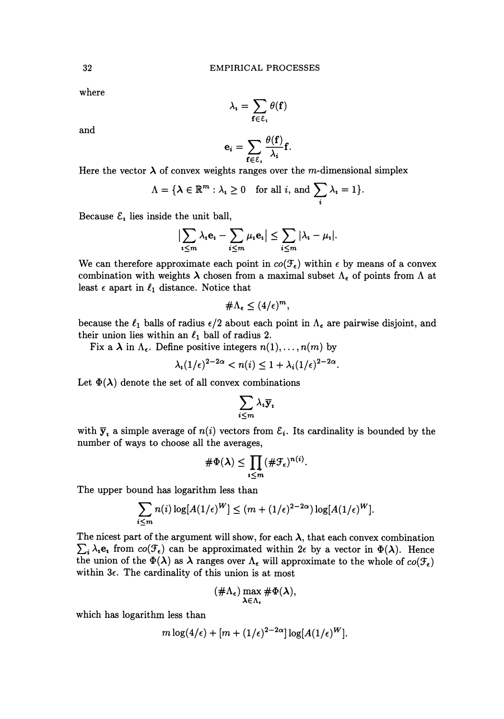where

$$
\lambda_{\imath} = \sum_{\mathbf{f} \in \mathcal{E}_{\imath}} \theta(\mathbf{f})
$$

and

$$
\mathbf{e}_i = \sum_{\mathbf{f} \in \mathcal{E}_i} \frac{\theta(\mathbf{f})}{\lambda_i} \mathbf{f}.
$$

Here the vector  $\lambda$  of convex weights ranges over the m-dimensional simplex

$$
\Lambda = \{ \lambda \in \mathbb{R}^m : \lambda_i \ge 0 \quad \text{for all } i, \text{ and } \sum_i \lambda_i = 1 \}.
$$

Because  $\mathcal{E}_i$  lies inside the unit ball,

$$
\left|\sum_{i\leq m}\lambda_i\mathbf{e}_i-\sum_{i\leq m}\mu_i\mathbf{e}_i\right|\leq \sum_{i\leq m}|\lambda_i-\mu_i|.
$$

We can therefore approximate each point in  $co(\mathcal{F}_{\epsilon})$  within  $\epsilon$  by means of a convex combination with weights  $\lambda$  chosen from a maximal subset  $\Lambda_{\epsilon}$  of points from  $\Lambda$  at least  $\epsilon$  apart in  $\ell_1$  distance. Notice that

$$
\#\Lambda_{\epsilon}\leq (4/\epsilon)^m,
$$

because the  $\ell_1$  balls of radius  $\epsilon/2$  about each point in  $\Lambda_{\epsilon}$  are pairwise disjoint, and their union lies within an  $\ell_1$  ball of radius 2.

Fix a  $\lambda$  in  $\Lambda_{\epsilon}$ . Define positive integers  $n(1), \ldots, n(m)$  by

$$
\lambda_i(1/\epsilon)^{2-2\alpha} < n(i) \leq 1 + \lambda_i(1/\epsilon)^{2-2\alpha}.
$$

Let  $\Phi(\lambda)$  denote the set of all convex combinations

$$
\sum_{i\leq m}\lambda_i\overline{\mathbf{y}}_i
$$

with  $\bar{y}_i$  a simple average of  $n(i)$  vectors from  $\mathcal{E}_i$ . Its cardinality is bounded by the number of ways to choose all the averages,

$$
\#\Phi(\lambda) \leq \prod_{i\leq m} (\#\mathcal{F}_{\epsilon})^{n(i)}.
$$

The upper bound has logarithm less than

$$
\sum_{i \le m} n(i) \log[A(1/\epsilon)^W] \le (m + (1/\epsilon)^{2-2\alpha}) \log[A(1/\epsilon)^W].
$$

The nicest part of the argument will show, for each  $\lambda$ , that each convex combination  $\sum_i \lambda_i$ **e**, from  $co(\mathcal{F}_{\epsilon})$  can be approximated within  $2\epsilon$  by a vector in  $\Phi(\lambda)$ . Hence the union of the  $\Phi(\lambda)$  as  $\lambda$  ranges over  $\Lambda_{\epsilon}$  will approximate to the whole of  $co(\mathcal{F}_{\epsilon})$ within  $3\epsilon$ . The cardinality of this union is at most

$$
(\#\Lambda_{\epsilon})\max_{\lambda\in\Lambda_{\epsilon}}\#\Phi(\lambda),
$$

which has logarithm less than

$$
m\log(4/\epsilon) + [m + (1/\epsilon)^{2-2\alpha}] \log[A(1/\epsilon)^W].
$$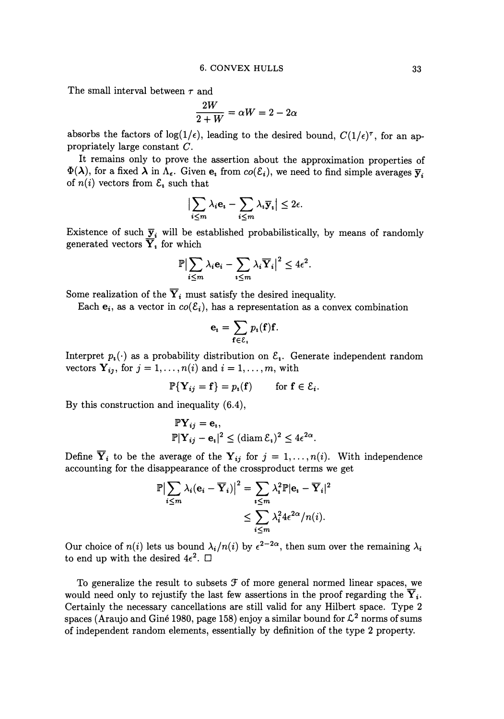The small interval between  $\tau$  and

and  
\n
$$
\frac{2W}{2+W} = \alpha W = 2 - 2\alpha
$$

absorbs the factors of  $log(1/\epsilon)$ , leading to the desired bound,  $C(1/\epsilon)^\tau$ , for an appropriately large constant C.

It remains only to prove the assertion about the approximation properties of  $\Phi(\lambda)$ , for a fixed  $\lambda$  in  $\Lambda_{\epsilon}$ . Given  $e_i$  from  $co(\mathcal{E}_i)$ , we need to find simple averages  $\overline{y}_i$ of  $n(i)$  vectors from  $\mathcal{E}_i$  such that

$$
\Big|\sum_{i\leq m}\lambda_i\mathbf{e_i}-\sum_{i\leq m}\lambda_i\overline{\mathbf{y}}_i\Big|\leq 2\epsilon.
$$

Existence of such  $\overline{y}_i$  will be established probabilistically, by means of randomly generated vectors  $\overline{Y}_i$  for which

$$
\mathbb{P}\bigl|\sum_{i\leq m}\lambda_i\mathbf{e}_i-\sum_{i\leq m}\lambda_i\overline{\mathbf{Y}}_i\bigr|^2\leq 4\epsilon^2.
$$

Some realization of the  $\overline{Y}_i$  must satisfy the desired inequality.

Each  $e_i$ , as a vector in  $co(\mathcal{E}_i)$ , has a representation as a convex combination

$$
\mathbf{e}_{i}=\sum_{\mathbf{f}\in\mathcal{E}_{i}}p_{i}(\mathbf{f})\mathbf{f}.
$$

Interpret  $p_i(\cdot)$  as a probability distribution on  $\mathcal{E}_i$ . Generate independent random vectors  $Y_{ij}$ , for  $j = 1, ..., n(i)$  and  $i = 1, ..., m$ , with

$$
\mathbb{P}\{\mathbf{Y}_{ij} = \mathbf{f}\} = p_i(\mathbf{f}) \quad \text{for } \mathbf{f} \in \mathcal{E}_i.
$$

By this construction and inequality (6.4),

$$
\begin{aligned} \mathbb{P}\mathbf{Y}_{ij} &= \mathbf{e}_i, \\ \mathbb{P}|\mathbf{Y}_{ij} - \mathbf{e}_i|^2 &\leq (\operatorname{diam} \mathcal{E}_i)^2 \leq 4\epsilon^{2\alpha}. \end{aligned}
$$

Define  $\overline{Y}_i$  to be the average of the  $Y_{ij}$  for  $j = 1, ..., n(i)$ . With independence accounting for the disappearance of the crossproduct terms we get

$$
\mathbb{P}\left|\sum_{i\leq m}\lambda_i(\mathbf{e}_i-\overline{\mathbf{Y}}_i)\right|^2=\sum_{i\leq m}\lambda_i^2\mathbb{P}|\mathbf{e}_i-\overline{\mathbf{Y}}_i|^2
$$

$$
\leq \sum_{i\leq m}\lambda_i^24\epsilon^{2\alpha}/n(i).
$$

Our choice of  $n(i)$  lets us bound  $\lambda_i/n(i)$  by  $\epsilon^{2-2\alpha}$ , then sum over the remaining  $\lambda_i$ to end up with the desired  $4\epsilon^2$ .  $\Box$ 

To generalize the result to subsets  $f$  of more general normed linear spaces, we would need only to rejustify the last few assertions in the proof regarding the  $\overline{Y}_i$ . Certainly the necessary cancellations are still valid for any Hilbert space. Type 2 spaces (Araujo and Giné 1980, page 158) enjoy a similar bound for  $\mathcal{L}^2$  norms of sums of independent random elements, essentially by definition of the type 2 property.